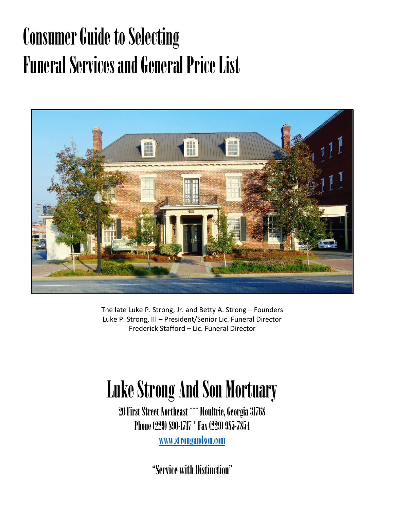# Consumer Guide to Selecting Funeral Services and General Price List



The late Luke P. Strong, Jr. and Betty A. Strong – Founders Luke P. Strong, III – President/Senior Lic. Funeral Director Frederick Stafford – Lic. Funeral Director

# Luke Strong And Son Mortuary

20 First Street Northeast \*\*\* Moultrie, Georgia 31768 Phone (229) 890-1717 \* Fax (229) 985-7854

www.strongandson.com

"Service with Distinction"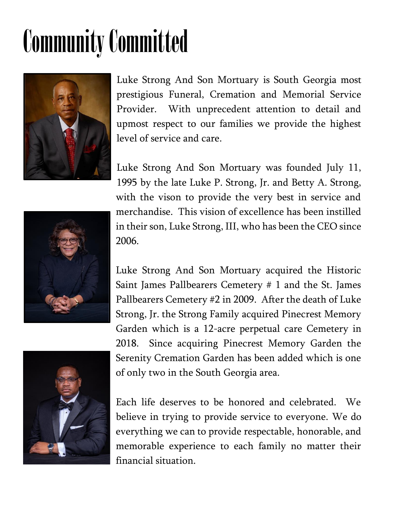# Community Committed



Luke Strong And Son Mortuary is South Georgia most prestigious Funeral, Cremation and Memorial Service Provider. With unprecedent attention to detail and upmost respect to our families we provide the highest level of service and care.

Luke Strong And Son Mortuary was founded July 11, 1995 by the late Luke P. Strong, Jr. and Betty A. Strong, with the vison to provide the very best in service and merchandise. This vision of excellence has been instilled in their son, Luke Strong, III, who has been the CEO since 2006.

Luke Strong And Son Mortuary acquired the Historic Saint James Pallbearers Cemetery # 1 and the St. James Pallbearers Cemetery #2 in 2009. After the death of Luke Strong, Jr. the Strong Family acquired Pinecrest Memory Garden which is a 12-acre perpetual care Cemetery in 2018. Since acquiring Pinecrest Memory Garden the Serenity Cremation Garden has been added which is one of only two in the South Georgia area.

Each life deserves to be honored and celebrated. We believe in trying to provide service to everyone. We do everything we can to provide respectable, honorable, and memorable experience to each family no matter their financial situation.



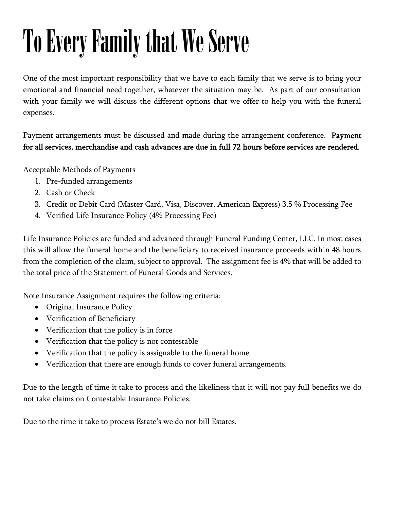# To Every Family that We Serve

One of the most important responsibility that we have to each family that we serve is to bring your emotional and financial need together, whatever the situation may be. As part of our consultation with your family we will discuss the different options that we offer to help you with the funeral expenses.

Payment arrangements must be discussed and made during the arrangement conference. Payment for all services, merchandise and cash advances are due in full 72 hours before services are rendered.

Acceptable Methods of Payments

- 1. Pre-funded arrangements
- 2. Cash or Check
- 3. Credit or Debit Card (Master Card, Visa, Discover, American Express) 3.5 % Processing Fee
- 4. Verified Life Insurance Policy (4% Processing Fee)

Life Insurance Policies are funded and advanced through Funeral Funding Center, LLC. In most cases this will allow the funeral home and the beneficiary to received insurance proceeds within 48 hours from the completion of the claim, subject to approval. The assignment fee is 4% that will be added to the total price of the Statement of Funeral Goods and Services.

Note Insurance Assignment requires the following criteria:

- Original Insurance Policy
- Verification of Beneficiary
- Verification that the policy is in force
- Verification that the policy is not contestable
- Verification that the policy is assignable to the funeral home
- Verification that there are enough funds to cover funeral arrangements.

Due to the length of time it take to process and the likeliness that it will not pay full benefits we do not take claims on Contestable Insurance Policies.

Due to the time it take to process Estate's we do not bill Estates.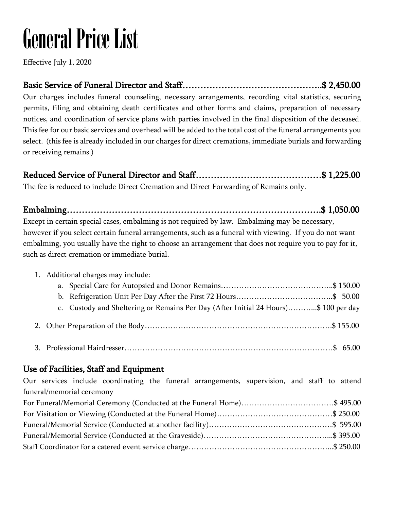# General Price List

Effective July 1, 2020

Basic Service of Funeral Director and Staff………………………………………..\$ 2,450.00 Our charges includes funeral counseling, necessary arrangements, recording vital statistics, securing permits, filing and obtaining death certificates and other forms and claims, preparation of necessary notices, and coordination of service plans with parties involved in the final disposition of the deceased. This fee for our basic services and overhead will be added to the total cost of the funeral arrangements you select. (this fee is already included in our charges for direct cremations, immediate burials and forwarding or receiving remains.)

Reduced Service of Funeral Director and Staff……………………………………\$ 1,225.00 The fee is reduced to include Direct Cremation and Direct Forwarding of Remains only.

Embalming………………………………………………………………………….\$ 1,050.00 Except in certain special cases, embalming is not required by law. Embalming may be necessary, however if you select certain funeral arrangements, such as a funeral with viewing. If you do not want embalming, you usually have the right to choose an arrangement that does not require you to pay for it, such as direct cremation or immediate burial.

## 1. Additional charges may include: a. Special Care for Autopsied and Donor Remains……………………………………..\$ 150.00 b. Refrigeration Unit Per Day After the First 72 Hours………………………………..\$ 50.00 c. Custody and Sheltering or Remains Per Day (After Initial 24 Hours)………...\$ 100 per day 2. Other Preparation of the Body……………………………………………………………….\$ 155.00 3. Professional Hairdresser………………………………………………………………………\$ 65.00

#### Use of Facilities, Staff and Equipment

Our services include coordinating the funeral arrangements, supervision, and staff to attend funeral/memorial ceremony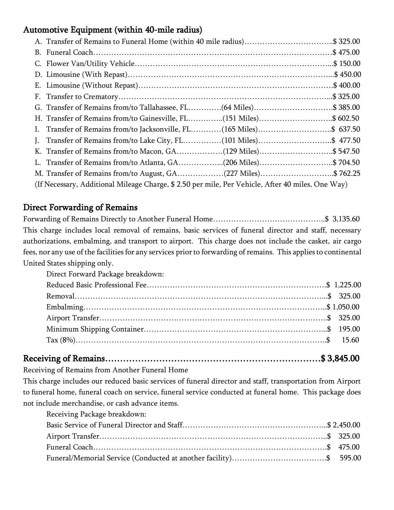#### Automotive Equipment (within 40-mile radius)

| A. Transfer of Remains to Funeral Home (within 40 mile radius)\$ 325.00                           |          |
|---------------------------------------------------------------------------------------------------|----------|
|                                                                                                   |          |
|                                                                                                   |          |
|                                                                                                   |          |
|                                                                                                   | \$400.00 |
|                                                                                                   |          |
|                                                                                                   |          |
| H. Transfer of Remains from/to Gainesville, FL(151 Miles)\$ 602.50                                |          |
|                                                                                                   |          |
| J. Transfer of Remains from/to Lake City, FL(101 Miles)\$ 477.50                                  |          |
|                                                                                                   |          |
|                                                                                                   |          |
|                                                                                                   |          |
| (If Necessary, Additional Mileage Charge, \$ 2.50 per mile, Per Vehicle, After 40 miles, One Way) |          |

#### Direct Forwarding of Remains

Forwarding of Remains Directly to Another Funeral Home……………………………………..\$ 3,135.60 This charge includes local removal of remains, basic services of funeral director and staff, necessary authorizations, embalming, and transport to airport. This charge does not include the casket, air cargo fees, nor any use of the facilities for any services prior to forwarding of remains. This applies to continental United States shipping only.

Direct Forward Package breakdown:

## Receiving of Remains………………………………………………………………\$ 3,845.00

Receiving of Remains from Another Funeral Home

This charge includes our reduced basic services of funeral director and staff, transportation from Airport to funeral home, funeral coach on service, funeral service conducted at funeral home. This package does not include merchandise, or cash advance items.

| Receiving Package breakdown: |  |
|------------------------------|--|
|                              |  |
|                              |  |
|                              |  |
|                              |  |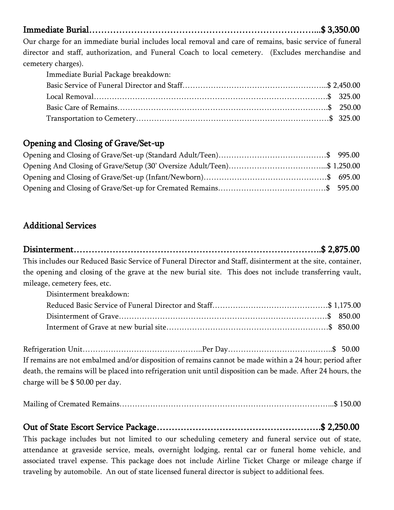Immediate Burial…………………………………………………………………...\$ 3,350.00

Our charge for an immediate burial includes local removal and care of remains, basic service of funeral director and staff, authorization, and Funeral Coach to local cemetery. (Excludes merchandise and cemetery charges).

Immediate Burial Package breakdown:

#### Opening and Closing of Grave/Set-up

#### Additional Services

Disinterment………………………………………………………………………..\$ 2,875.00 This includes our Reduced Basic Service of Funeral Director and Staff, disinterment at the site, container, the opening and closing of the grave at the new burial site. This does not include transferring vault, mileage, cemetery fees, etc.

| Disinterment breakdown: |  |
|-------------------------|--|
|                         |  |
|                         |  |
|                         |  |

Refrigeration Unit…………………………………………………Per Day…………………………………………………………\$ 50.00 If remains are not embalmed and/or disposition of remains cannot be made within a 24 hour; period after death, the remains will be placed into refrigeration unit until disposition can be made. After 24 hours, the charge will be \$ 50.00 per day.

|--|--|

#### Out of State Escort Service Package……………………………………………….\$ 2,250.00

This package includes but not limited to our scheduling cemetery and funeral service out of state, attendance at graveside service, meals, overnight lodging, rental car or funeral home vehicle, and associated travel expense. This package does not include Airline Ticket Charge or mileage charge if traveling by automobile. An out of state licensed funeral director is subject to additional fees.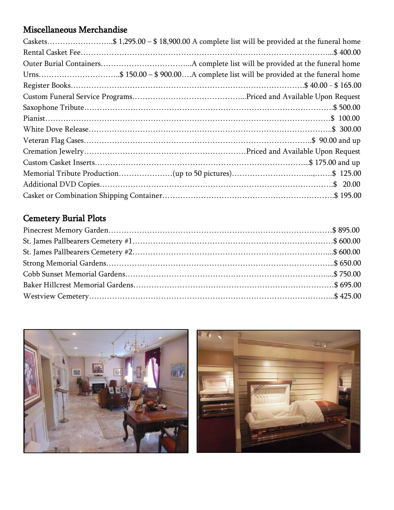#### Miscellaneous Merchandise

| Caskets\$ 1,295.00 - \$18,900.00 A complete list will be provided at the funeral home |  |
|---------------------------------------------------------------------------------------|--|
|                                                                                       |  |
|                                                                                       |  |
| Urns\$ 150.00 - \$900.00A complete list will be provided at the funeral home          |  |
|                                                                                       |  |
|                                                                                       |  |
|                                                                                       |  |
|                                                                                       |  |
|                                                                                       |  |
|                                                                                       |  |
|                                                                                       |  |
|                                                                                       |  |
|                                                                                       |  |
|                                                                                       |  |
|                                                                                       |  |

### Cemetery Burial Plots



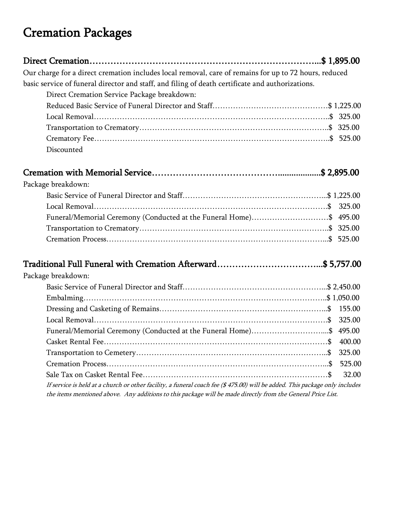# Cremation Packages

| Our charge for a direct cremation includes local removal, care of remains for up to 72 hours, reduced |  |
|-------------------------------------------------------------------------------------------------------|--|
| basic service of funeral director and staff, and filing of death certificate and authorizations.      |  |
| Direct Cremation Service Package breakdown:                                                           |  |
|                                                                                                       |  |
|                                                                                                       |  |
|                                                                                                       |  |
|                                                                                                       |  |
| Discounted                                                                                            |  |

### Cremation with Memorial Service……………………………………...................\$ 2,895.00

| Package breakdown:                                                 |  |
|--------------------------------------------------------------------|--|
|                                                                    |  |
|                                                                    |  |
| Funeral/Memorial Ceremony (Conducted at the Funeral Home)\$ 495.00 |  |
|                                                                    |  |
|                                                                    |  |

#### Traditional Full Funeral with Cremation Afterward……………………………...\$ 5,757.00

| Package breakdown:                                                                                                         |       |  |  |
|----------------------------------------------------------------------------------------------------------------------------|-------|--|--|
|                                                                                                                            |       |  |  |
|                                                                                                                            |       |  |  |
|                                                                                                                            |       |  |  |
|                                                                                                                            |       |  |  |
| Funeral/Memorial Ceremony (Conducted at the Funeral Home)\$ 495.00                                                         |       |  |  |
|                                                                                                                            |       |  |  |
|                                                                                                                            |       |  |  |
|                                                                                                                            |       |  |  |
|                                                                                                                            | 32.00 |  |  |
| If service is held at a church or other facility, a funeral coach fee (\$475.00) will be added. This package only includes |       |  |  |

the items mentioned above. Any additions to this package will be made directly from the General Price List.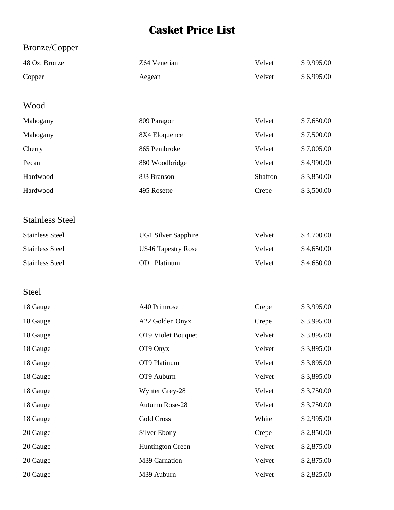## **Casket Price List**

#### Bronze/Copper

| 48 Oz. Bronze          | Z64 Venetian               | Velvet  | \$9,995.00 |
|------------------------|----------------------------|---------|------------|
| Copper                 | Aegean                     | Velvet  | \$6,995.00 |
|                        |                            |         |            |
| Wood                   |                            |         |            |
| Mahogany               | 809 Paragon                | Velvet  | \$7,650.00 |
| Mahogany               | 8X4 Eloquence              | Velvet  | \$7,500.00 |
| Cherry                 | 865 Pembroke               | Velvet  | \$7,005.00 |
| Pecan                  | 880 Woodbridge             | Velvet  | \$4,990.00 |
| Hardwood               | 8J3 Branson                | Shaffon | \$3,850.00 |
| Hardwood               | 495 Rosette                | Crepe   | \$3,500.00 |
|                        |                            |         |            |
| <b>Stainless Steel</b> |                            |         |            |
| <b>Stainless Steel</b> | <b>UG1 Silver Sapphire</b> | Velvet  | \$4,700.00 |
| <b>Stainless Steel</b> | <b>US46 Tapestry Rose</b>  | Velvet  | \$4,650.00 |
| <b>Stainless Steel</b> | OD1 Platinum               | Velvet  | \$4,650.00 |
|                        |                            |         |            |
| <b>Steel</b>           |                            |         |            |
| 18 Gauge               | A40 Primrose               | Crepe   | \$3,995.00 |
| 18 Gauge               | A22 Golden Onyx            | Crepe   | \$3,995.00 |
| 18 Gauge               | OT9 Violet Bouquet         | Velvet  | \$3,895.00 |
| 18 Gauge               | OT9 Onyx                   | Velvet  | \$3,895.00 |
| 18 Gauge               | OT9 Platinum               | Velvet  | \$3,895.00 |
| 18 Gauge               | OT9 Auburn                 | Velvet  | \$3,895.00 |
| 18 Gauge               | Wynter Grey-28             | Velvet  | \$3,750.00 |
| 18 Gauge               | Autumn Rose-28             | Velvet  | \$3,750.00 |
| 18 Gauge               | <b>Gold Cross</b>          | White   | \$2,995.00 |
| 20 Gauge               | <b>Silver Ebony</b>        | Crepe   | \$2,850.00 |
| 20 Gauge               | <b>Huntington Green</b>    | Velvet  | \$2,875.00 |
| 20 Gauge               | M39 Carnation              | Velvet  | \$2,875.00 |
| 20 Gauge               | M39 Auburn                 | Velvet  | \$2,825.00 |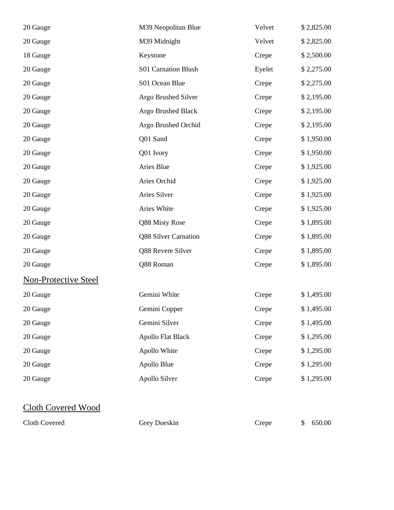| 20 Gauge                    | M39 Neopolitan Blue      | Velvet | \$2,825.00 |
|-----------------------------|--------------------------|--------|------------|
| 20 Gauge                    | M39 Midnight             | Velvet | \$2,825.00 |
| 18 Gauge                    | Keystone                 | Crepe  | \$2,500.00 |
| 20 Gauge                    | S01 Carnation Blush      | Eyelet | \$2,275.00 |
| 20 Gauge                    | S01 Ocean Blue           | Crepe  | \$2,275.00 |
| 20 Gauge                    | Argo Brushed Silver      | Crepe  | \$2,195.00 |
| 20 Gauge                    | Argo Brushed Black       | Crepe  | \$2,195.00 |
| 20 Gauge                    | Argo Brushed Orchid      | Crepe  | \$2,195.00 |
| 20 Gauge                    | Q01 Sand                 | Crepe  | \$1,950.00 |
| 20 Gauge                    | Q01 Ivory                | Crepe  | \$1,950.00 |
| 20 Gauge                    | Aries Blue               | Crepe  | \$1,925.00 |
| 20 Gauge                    | Aries Orchid             | Crepe  | \$1,925.00 |
| 20 Gauge                    | Aries Silver             | Crepe  | \$1,925.00 |
| 20 Gauge                    | Aries White              | Crepe  | \$1,925.00 |
| 20 Gauge                    | Q88 Misty Rose           | Crepe  | \$1,895.00 |
| 20 Gauge                    | Q88 Silver Carnation     | Crepe  | \$1,895.00 |
| 20 Gauge                    | Q88 Revere Silver        | Crepe  | \$1,895.00 |
| 20 Gauge                    | Q88 Roman                | Crepe  | \$1,895.00 |
| <b>Non-Protective Steel</b> |                          |        |            |
| 20 Gauge                    | Gemini White             | Crepe  | \$1,495.00 |
| 20 Gauge                    | Gemini Copper            | Crepe  | \$1,495.00 |
| 20 Gauge                    | Gemini Silver            | Crepe  | \$1,495.00 |
| 20 Gauge                    | <b>Apollo Flat Black</b> | Crepe  | \$1,295.00 |
| 20 Gauge                    | Apollo White             | Crepe  | \$1,295.00 |
| 20 Gauge                    | Apollo Blue              | Crepe  | \$1,295.00 |
| 20 Gauge                    | Apollo Silver            | Crepe  | \$1,295.00 |
|                             |                          |        |            |
| <b>Cloth Covered Wood</b>   |                          |        |            |

Cloth Covered Grey Doeskin Crepe \$ 650.00